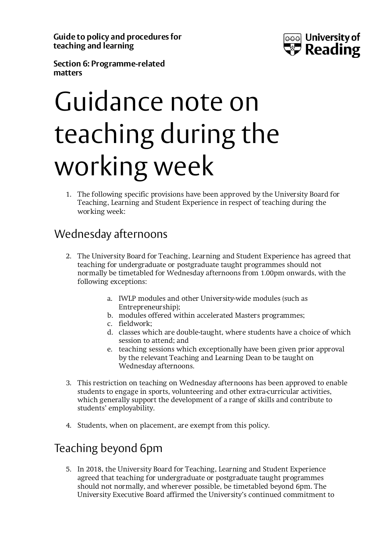**Guide to policy and procedures for teaching and learning**



**Section 6: Programme-related matters**

## Guidance note on teaching during the working week

1. The following specific provisions have been approved by the University Board for Teaching, Learning and Student Experience in respect of teaching during the working week:

## Wednesday afternoons

- 2. The University Board for Teaching, Learning and Student Experience has agreed that teaching for undergraduate or postgraduate taught programmes should not normally be timetabled for Wednesday afternoons from 1.00pm onwards, with the following exceptions:
	- a. IWLP modules and other University-wide modules (such as Entrepreneurship);
	- b. modules offered within accelerated Masters programmes;
	- c. fieldwork;
	- d. classes which are double-taught, where students have a choice of which session to attend; and
	- e. teaching sessions which exceptionally have been given prior approval by the relevant Teaching and Learning Dean to be taught on Wednesday afternoons.
- 3. This restriction on teaching on Wednesday afternoons has been approved to enable students to engage in sports, volunteering and other extra-curricular activities, which generally support the development of a range of skills and contribute to students' employability.
- 4. Students, when on placement, are exempt from this policy.

## Teaching beyond 6pm

5. In 2018, the University Board for Teaching, Learning and Student Experience agreed that teaching for undergraduate or postgraduate taught programmes should not normally, and wherever possible, be timetabled beyond 6pm. The University Executive Board affirmed the University's continued commitment to